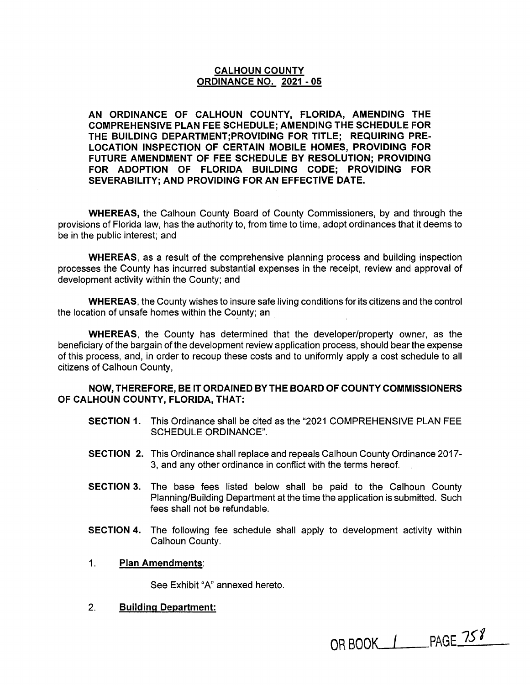### **CALHOUN COUNTY ORDINANCE NO. 2021 - 05**

**AN ORDINANCE OF CALHOUN COUNTY, FLORIDA, AMENDING THE COMPREHENSIVE PLAN FEE SCHEDULE; AMENDING THE SCHEDULE FOR THE BUILDING DEPARTMENT;PROVIDING FOR TITLE; REQUIRING PRE-LOCATION INSPECTION OF CERTAIN MOBILE HOMES, PROVIDING FOR FUTURE AMENDMENT OF FEE SCHEDULE BY RESOLUTION; PROVIDING FOR ADOPTION OF FLORIDA BUILDING CODE; PROVIDING FOR SEVERABILITY; AND PROVIDING FOR AN EFFECTIVE DATE.** 

**WHEREAS,** the Calhoun County Board of County Commissioners, by and through the provisions of Florida law, has the authority to, from time to time, adopt ordinances that it deems to be in the public interest; and

**WHEREAS,** as a result of the comprehensive planning process and building inspection processes the County has incurred substantial expenses in the receipt, review and approval of development activity within the County; and

**WHEREAS,** the County wishes to insure safe living conditions for its citizens and the control the location of unsafe homes within the County; an

**WHEREAS,** the County has determined that the developer/property owner, as the beneficiary of the bargain of the development review application process, should bear the expense of this process, and, in order to recoup these costs and to uniformly apply a cost schedule to all citizens of Calhoun County,

### **NOW, THEREFORE, BE IT ORDAINED BY THE BOARD OF COUNTY COMMISSIONERS OF CALHOUN COUNTY, FLORIDA, THAT:**

- **SECTION 1.** This Ordinance shall be cited as the "2021 COMPREHENSIVE PLAN FEE SCHEDULE ORDINANCE".
- **SECTION 2.** This Ordinance shall replace and repeals Calhoun County Ordinance 2017- 3, and any other ordinance in conflict with the terms hereof.
- **SECTION 3.** The base fees listed below shall be paid to the Calhoun County Planning/Building Department at the time the application is submitted. Such fees shall not be refundable.
- **SECTION 4.** The following fee schedule shall apply to development activity within Calhoun County.
- 1. **Plan Amendments:**

See Exhibit "A" annexed hereto.

2. **Building Department:** 

OR BOOK  $1$  PAGE 758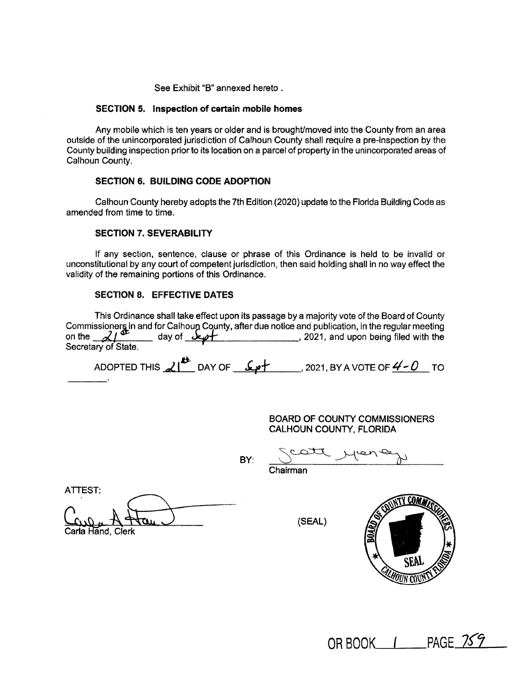See Exhibit "B" annexed hereto .

#### **SECTION 5. Inspection of certain mobile homes**

Any mobile which is ten years or older and is brought/moved into the County from an area outside of the unincorporated jurisdiction of Calhoun County shall require a pre-inspection by the County building inspection prior to its location on a parcel of property in the unincorporated areas of Calhoun County.

#### **SECTION 6. BUILDING CODE ADOPTION**

Calhoun County hereby adopts the 7th Edition (2020) update to the Florida Building Code as amended from time to time.

#### **SECTION 7. SEVERABILITY**

If any section, sentence, clause or phrase of this Ordinance is held to be invalid or unconstitutional by any court of competent jurisdiction, then said holding shall in no way effect the validity of the remaining portions of this Ordinance.

#### **SECTION 8. EFFECTIVE DATES**

This Ordinance shall take effect upon its passage by a majority vote of the Board of County Commissioners in and for Calhoun County, after due notice and publication, in the regular meeting on the **definit**<br>On the **definition on the definition on the definition**, 2021, and upon being filed with the Secretary of State.

ADOPTED THIS  $\lambda$  <sup><sup>2</sup> DAY OF <u>4-0</u> 2021, BY A VOTE OF <u>4-0</u> TO</sup>

BOARD OF COUNTY COMMISSIONERS CALHOUN COUNTY, FLORIDA

BY:

Catt Marien

ATTEST:

| Carla Hand, Clerk |  |  |
|-------------------|--|--|

(SEAL)



OR BOOK 1 PAGE 759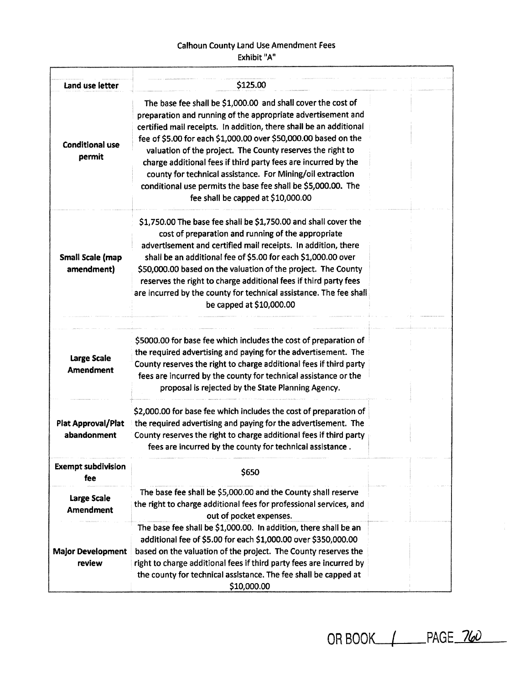## Calhoun County Land Use Amendment Fees Exhibit "A"

| Land use letter                        | \$125.00                                                                                                                                                                                                                                                                                                                                                                                                                                                                                                                                                                   |  |
|----------------------------------------|----------------------------------------------------------------------------------------------------------------------------------------------------------------------------------------------------------------------------------------------------------------------------------------------------------------------------------------------------------------------------------------------------------------------------------------------------------------------------------------------------------------------------------------------------------------------------|--|
| <b>Conditional use</b><br>permit       | The base fee shall be \$1,000.00 and shall cover the cost of<br>preparation and running of the appropriate advertisement and<br>certified mail receipts. In addition, there shall be an additional<br>fee of \$5.00 for each \$1,000.00 over \$50,000.00 based on the<br>valuation of the project. The County reserves the right to<br>charge additional fees if third party fees are incurred by the<br>county for technical assistance. For Mining/oil extraction<br>conditional use permits the base fee shall be \$5,000.00. The<br>fee shall be capped at \$10,000.00 |  |
| Small Scale (map<br>amendment)         | \$1,750.00 The base fee shall be \$1,750.00 and shall cover the<br>cost of preparation and running of the appropriate<br>advertisement and certified mail receipts. In addition, there<br>shall be an additional fee of \$5.00 for each \$1,000.00 over<br>\$50,000.00 based on the valuation of the project. The County<br>reserves the right to charge additional fees if third party fees<br>are incurred by the county for technical assistance. The fee shall<br>be capped at \$10,000.00                                                                             |  |
| Large Scale<br><b>Amendment</b>        | \$5000.00 for base fee which includes the cost of preparation of<br>the required advertising and paying for the advertisement. The<br>County reserves the right to charge additional fees if third party<br>fees are incurred by the county for technical assistance or the<br>proposal is rejected by the State Planning Agency.                                                                                                                                                                                                                                          |  |
| Plat Approval/Plat<br>abandonment      | \$2,000.00 for base fee which includes the cost of preparation of<br>the required advertising and paying for the advertisement. The<br>County reserves the right to charge additional fees if third party<br>fees are incurred by the county for technical assistance.                                                                                                                                                                                                                                                                                                     |  |
| <b>Exempt subdivision</b><br>fee:      | \$650                                                                                                                                                                                                                                                                                                                                                                                                                                                                                                                                                                      |  |
| <b>Large Scale</b><br><b>Amendment</b> | The base fee shall be \$5,000.00 and the County shall reserve<br>the right to charge additional fees for professional services, and<br>out of pocket expenses.                                                                                                                                                                                                                                                                                                                                                                                                             |  |
| <b>Major Development</b><br>review     | The base fee shall be \$1,000.00. In addition, there shall be an<br>additional fee of \$5.00 for each \$1,000.00 over \$350,000.00<br>based on the valuation of the project. The County reserves the<br>right to charge additional fees if third party fees are incurred by<br>the county for technical assistance. The fee shall be capped at<br>\$10,000.00                                                                                                                                                                                                              |  |

OR BOOK  $\sqrt{ }$  PAGE 760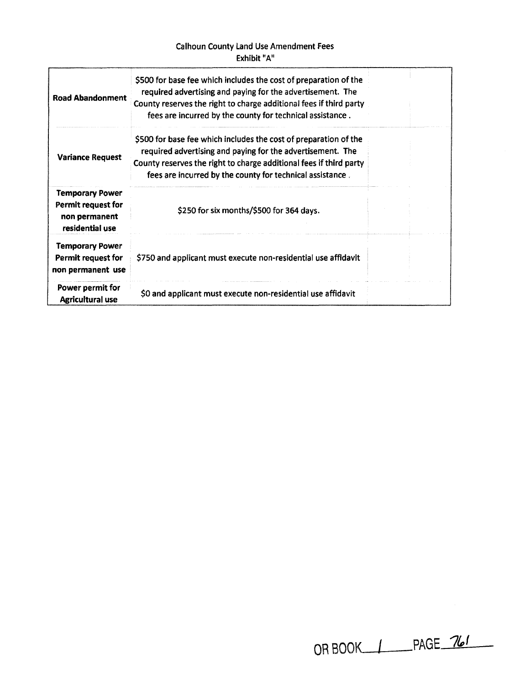## Calhoun County Land Use Amendment Fees Exhibit "A"

| <b>Road Abandonment</b>                                                          | \$500 for base fee which includes the cost of preparation of the<br>required advertising and paying for the advertisement. The<br>County reserves the right to charge additional fees if third party<br>fees are incurred by the county for technical assistance. |  |
|----------------------------------------------------------------------------------|-------------------------------------------------------------------------------------------------------------------------------------------------------------------------------------------------------------------------------------------------------------------|--|
| <b>Variance Request</b>                                                          | \$500 for base fee which includes the cost of preparation of the<br>required advertising and paying for the advertisement. The<br>County reserves the right to charge additional fees if third party<br>fees are incurred by the county for technical assistance. |  |
| <b>Temporary Power</b><br>Permit request for<br>non permanent<br>residential use | \$250 for six months/\$500 for 364 days.                                                                                                                                                                                                                          |  |
| <b>Temporary Power</b><br>Permit request for<br>non permanent use                | \$750 and applicant must execute non-residential use affidavit                                                                                                                                                                                                    |  |
| Power permit for<br><b>Agricultural use</b>                                      | \$0 and applicant must execute non-residential use affidavit                                                                                                                                                                                                      |  |

| OR BOOK_____ |  | PAGE 761 |  |
|--------------|--|----------|--|
|--------------|--|----------|--|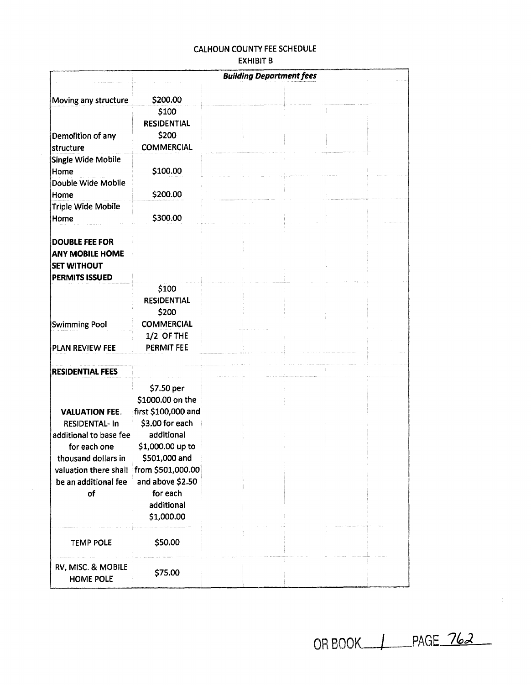# CALHOUN COUNTY FEE SCHEDULE EXHIBIT B

|                         | <b>Building Department fees</b> |  |  |  |  |  |
|-------------------------|---------------------------------|--|--|--|--|--|
|                         |                                 |  |  |  |  |  |
| Moving any structure    | \$200.00                        |  |  |  |  |  |
|                         | \$100                           |  |  |  |  |  |
|                         | <b>RESIDENTIAL</b>              |  |  |  |  |  |
| Demolition of any       | \$200                           |  |  |  |  |  |
| structure               | <b>COMMERCIAL</b>               |  |  |  |  |  |
| Single Wide Mobile      |                                 |  |  |  |  |  |
| Home                    | \$100.00                        |  |  |  |  |  |
| Double Wide Mobile      |                                 |  |  |  |  |  |
| Home                    | \$200.00                        |  |  |  |  |  |
| Triple Wide Mobile      |                                 |  |  |  |  |  |
| Home                    | \$300.00                        |  |  |  |  |  |
| <b>DOUBLE FEE FOR</b>   |                                 |  |  |  |  |  |
| <b>ANY MOBILE HOME</b>  |                                 |  |  |  |  |  |
| <b>SET WITHOUT</b>      |                                 |  |  |  |  |  |
| <b>PERMITS ISSUED</b>   |                                 |  |  |  |  |  |
|                         | \$100                           |  |  |  |  |  |
|                         | <b>RESIDENTIAL</b>              |  |  |  |  |  |
|                         | \$200                           |  |  |  |  |  |
| <b>Swimming Pool</b>    | <b>COMMERCIAL</b>               |  |  |  |  |  |
|                         | 1/2 OF THE                      |  |  |  |  |  |
| PLAN REVIEW FEE         | <b>PERMIT FEE</b>               |  |  |  |  |  |
|                         |                                 |  |  |  |  |  |
| <b>RESIDENTIAL FEES</b> |                                 |  |  |  |  |  |
|                         |                                 |  |  |  |  |  |
|                         | \$7.50 per                      |  |  |  |  |  |
|                         | \$1000.00 on the                |  |  |  |  |  |
| <b>VALUATION FEE.</b>   | first \$100,000 and             |  |  |  |  |  |
| <b>RESIDENTAL- In</b>   | \$3.00 for each                 |  |  |  |  |  |
| additional to base fee  | additional                      |  |  |  |  |  |
| for each one            | \$1,000.00 up to                |  |  |  |  |  |
| thousand dollars in     | \$501,000 and                   |  |  |  |  |  |
| valuation there shall   | from \$501,000.00               |  |  |  |  |  |
| be an additional fee    | and above \$2.50                |  |  |  |  |  |
| of                      | for each<br>additional          |  |  |  |  |  |
|                         |                                 |  |  |  |  |  |
|                         | \$1,000.00                      |  |  |  |  |  |
|                         |                                 |  |  |  |  |  |
| <b>TEMP POLE</b>        | \$50.00                         |  |  |  |  |  |
|                         |                                 |  |  |  |  |  |
| RV, MISC. & MOBILE      | \$75.00                         |  |  |  |  |  |
| HOME POLE               |                                 |  |  |  |  |  |

OR BOOK  $\perp$  PAGE 762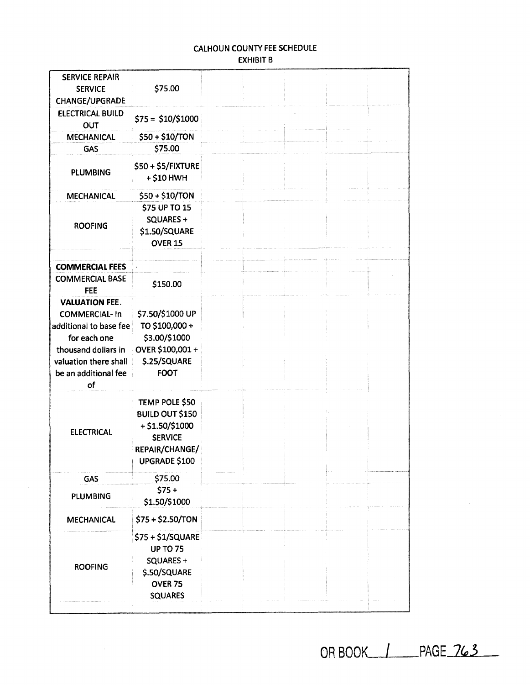# CALHOUN COUNTY FEE SCHEDULE EXHIBIT B

| <b>SERVICE REPAIR</b><br><b>SERVICE</b><br><b>CHANGE/UPGRADE</b> | \$75.00                         |  |  |  |
|------------------------------------------------------------------|---------------------------------|--|--|--|
| <b>ELECTRICAL BUILD</b><br>OUT                                   | $$75 = $10/$1000$               |  |  |  |
| <b>MECHANICAL</b>                                                | \$50 + \$10/TON                 |  |  |  |
| <b>GAS</b>                                                       | \$75.00                         |  |  |  |
| <b>PLUMBING</b>                                                  | \$50+\$5/FIXTURE<br>+ \$10 HWH  |  |  |  |
| <b>MECHANICAL</b>                                                | \$50 + \$10/TON                 |  |  |  |
|                                                                  | \$75 UP TO 15<br>SQUARES+       |  |  |  |
| <b>ROOFING</b>                                                   | \$1.50/SQUARE<br><b>OVER 15</b> |  |  |  |
|                                                                  |                                 |  |  |  |
| <b>COMMERCIAL FEES</b>                                           |                                 |  |  |  |
| <b>COMMERCIAL BASE</b><br><b>FEE</b>                             | \$150.00                        |  |  |  |
| <b>VALUATION FEE.</b>                                            |                                 |  |  |  |
| <b>COMMERCIAL-In</b>                                             | \$7.50/\$1000 UP                |  |  |  |
| additional to base fee                                           | TO \$100,000+                   |  |  |  |
| for each one                                                     | \$3.00/\$1000                   |  |  |  |
| thousand dollars in                                              | OVER \$100,001 +                |  |  |  |
| valuation there shall                                            | \$.25/SQUARE                    |  |  |  |
| be an additional fee<br>of                                       | <b>FOOT</b>                     |  |  |  |
|                                                                  | TEMP POLE \$50                  |  |  |  |
|                                                                  | <b>BUILD OUT \$150</b>          |  |  |  |
|                                                                  | $+$ \$1.50/\$1000               |  |  |  |
| <b>ELECTRICAL</b>                                                | <b>SERVICE</b>                  |  |  |  |
|                                                                  | REPAIR/CHANGE/                  |  |  |  |
|                                                                  | UPGRADE \$100                   |  |  |  |
| GAS                                                              | \$75.00                         |  |  |  |
|                                                                  | $$75+$                          |  |  |  |
| <b>PLUMBING</b>                                                  | \$1.50/\$1000                   |  |  |  |
| <b>MECHANICAL</b>                                                | \$75+\$2.50/TON                 |  |  |  |
|                                                                  | \$75 + \$1/SQUARE               |  |  |  |
|                                                                  | <b>UP TO 75</b>                 |  |  |  |
|                                                                  | SQUARES +                       |  |  |  |
| <b>ROOFING</b>                                                   | \$.50/SQUARE                    |  |  |  |
|                                                                  | OVER <sub>75</sub>              |  |  |  |
|                                                                  | <b>SQUARES</b>                  |  |  |  |
|                                                                  |                                 |  |  |  |

OR BOOK | PAGE 763